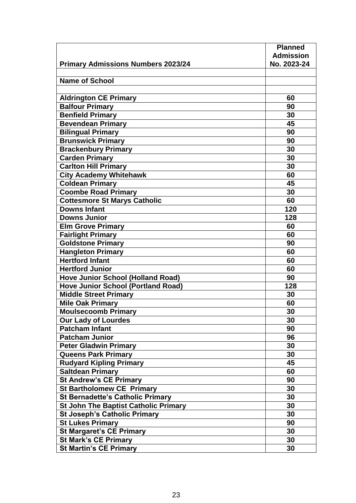|                                             | <b>Planned</b>   |
|---------------------------------------------|------------------|
|                                             | <b>Admission</b> |
| <b>Primary Admissions Numbers 2023/24</b>   | No. 2023-24      |
|                                             |                  |
| <b>Name of School</b>                       |                  |
|                                             |                  |
| <b>Aldrington CE Primary</b>                | 60               |
| <b>Balfour Primary</b>                      | 90               |
| <b>Benfield Primary</b>                     | 30               |
| <b>Bevendean Primary</b>                    | 45               |
| <b>Bilingual Primary</b>                    | 90               |
| <b>Brunswick Primary</b>                    | 90               |
| <b>Brackenbury Primary</b>                  | 30               |
| <b>Carden Primary</b>                       | 30               |
| <b>Carlton Hill Primary</b>                 | 30               |
| <b>City Academy Whitehawk</b>               | 60               |
| <b>Coldean Primary</b>                      | 45               |
| <b>Coombe Road Primary</b>                  | 30               |
| <b>Cottesmore St Marys Catholic</b>         | 60               |
| <b>Downs Infant</b>                         | 120              |
| <b>Downs Junior</b>                         | 128              |
| <b>Elm Grove Primary</b>                    | 60               |
| <b>Fairlight Primary</b>                    | 60               |
| <b>Goldstone Primary</b>                    | 90               |
| <b>Hangleton Primary</b>                    | 60               |
| <b>Hertford Infant</b>                      | 60               |
| <b>Hertford Junior</b>                      | 60               |
| <b>Hove Junior School (Holland Road)</b>    | 90               |
| <b>Hove Junior School (Portland Road)</b>   | 128              |
| <b>Middle Street Primary</b>                | 30               |
| <b>Mile Oak Primary</b>                     | 60               |
| <b>Moulsecoomb Primary</b>                  | 30               |
| <b>Our Lady of Lourdes</b>                  | 30               |
| <b>Patcham Infant</b>                       | 90               |
| <b>Patcham Junior</b>                       | 96               |
| <b>Peter Gladwin Primary</b>                | 30               |
| <b>Queens Park Primary</b>                  | 30               |
| <b>Rudyard Kipling Primary</b>              | 45               |
| Saltdean Primary                            | 60               |
| <b>St Andrew's CE Primary</b>               | 90               |
| <b>St Bartholomew CE Primary</b>            | 30               |
| <b>St Bernadette's Catholic Primary</b>     | 30               |
| <b>St John The Baptist Catholic Primary</b> | 30               |
| <b>St Joseph's Catholic Primary</b>         | 30               |
| <b>St Lukes Primary</b>                     | 90               |
| <b>St Margaret's CE Primary</b>             | 30               |
| <b>St Mark's CE Primary</b>                 | 30               |
| <b>St Martin's CE Primary</b>               | 30               |